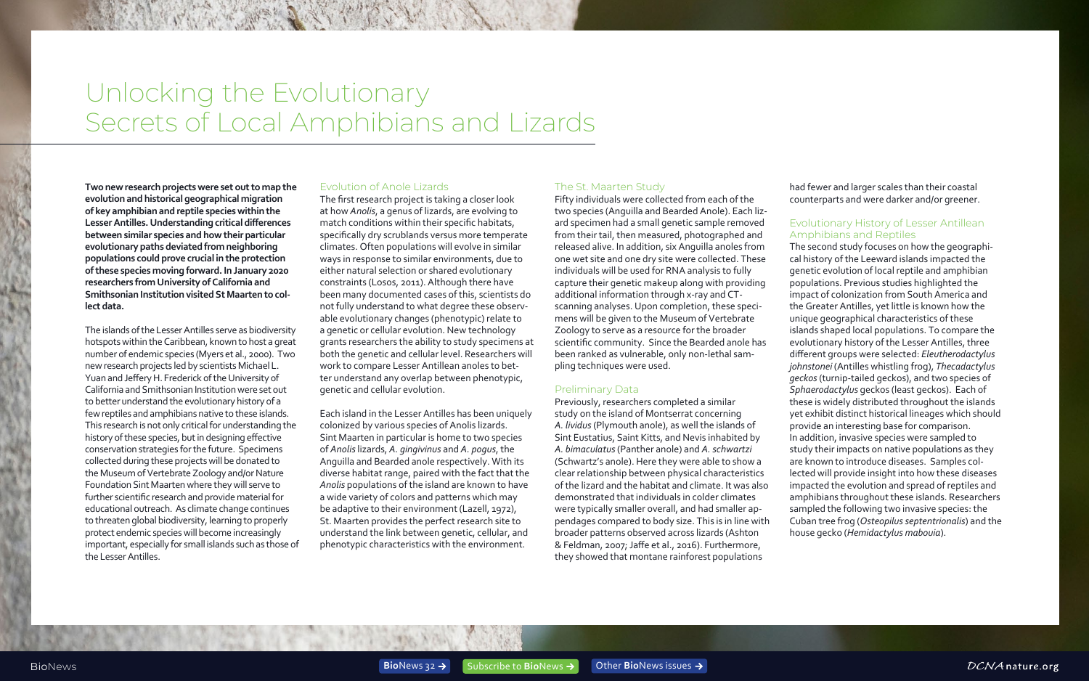# <span id="page-0-0"></span>Unlocking the Evolutionary Secrets of Local Amphibians and Lizards

**Two new research projects were set out to map the evolution and historical geographical migration of key amphibian and reptile species within the Lesser Antilles. Understanding critical differences between similar species and how their particular evolutionary paths deviated from neighboring populations could prove crucial in the protection of these species moving forward. In January 2020 researchers from University of California and Smithsonian Institution visited St Maarten to collect data.**

The islands of the Lesser Antilles serve as biodiversity hotspots within the Caribbean, known to host a great number of endemic species (Myers et al., 2000). Two new research projects led by scientists Michael L. Yuan and Jeffery H. Frederick of the University of California and Smithsonian Institution were set out to better understand the evolutionary history of a few reptiles and amphibians native to these islands. This research is not only critical for understanding the history of these species, but in designing effective conservation strategies for the future. Specimens collected during these projects will be donated to the Museum of Vertebrate Zoology and/or Nature Foundation Sint Maarten where they will serve to further scientific research and provide material for educational outreach. As climate change continues to threaten global biodiversity, learning to properly protect endemic species will become increasingly important, especially for small islands such as those of the Lesser Antilles.

#### Evolution of Anole Lizards

The first research project is taking a closer look at how *Anolis*, a genus of lizards, are evolving to match conditions within their specific habitats, specifically dry scrublands versus more temperate climates. Often populations will evolve in similar ways in response to similar environments, due to either natural selection or shared evolutionary constraints (Losos, 2011). Although there have been many documented cases of this, scientists do not fully understand to what degree these observable evolutionary changes (phenotypic) relate to a genetic or cellular evolution. New technology grants researchers the ability to study specimens at both the genetic and cellular level. Researchers will work to compare Lesser Antillean anoles to better understand any overlap between phenotypic, genetic and cellular evolution.

Each island in the Lesser Antilles has been uniquely colonized by various species of Anolis lizards. Sint Maarten in particular is home to two species of *Anolis* lizards, *A. gingivinus* and *A. pogus*, the Anguilla and Bearded anole respectively. With its diverse habitat range, paired with the fact that the *Anolis* populations of the island are known to have a wide variety of colors and patterns which may be adaptive to their environment (Lazell, 1972), St. Maarten provides the perfect research site to understand the link between genetic, cellular, and phenotypic characteristics with the environment.

## The St. Maarten Study

Fifty individuals were collected from each of the two species (Anguilla and Bearded Anole). Each lizard specimen had a small genetic sample removed from their tail, then measured, photographed and released alive. In addition, six Anguilla anoles from one wet site and one dry site were collected. These individuals will be used for RNA analysis to fully capture their genetic makeup along with providing additional information through x-ray and CTscanning analyses. Upon completion, these specimens will be given to the Museum of Vertebrate Zoology to serve as a resource for the broader scientific community. Since the Bearded anole has been ranked as vulnerable, only non-lethal sampling techniques were used.

## Preliminary Data

Previously, researchers completed a similar study on the island of Montserrat concerning *A. lividus* (Plymouth anole), as well the islands of Sint Eustatius, Saint Kitts, and Nevis inhabited by *A. bimaculatus* (Panther anole) and *A. schwartzi*  (Schwartz's anole). Here they were able to show a clear relationship between physical characteristics of the lizard and the habitat and climate. It was also demonstrated that individuals in colder climates were typically smaller overall, and had smaller appendages compared to body size. This is in line with broader patterns observed across lizards (Ashton & Feldman, 2007; Jaffe et al., 2016). Furthermore, they showed that montane rainforest populations

had fewer and larger scales than their coastal counterparts and were darker and/or greener.

## Evolutionary History of Lesser Antillean Amphibians and Reptiles

The second study focuses on how the geographical history of the Leeward islands impacted the genetic evolution of local reptile and amphibian populations. Previous studies highlighted the impact of colonization from South America and the Greater Antilles, yet little is known how the unique geographical characteristics of these islands shaped local populations. To compare the evolutionary history of the Lesser Antilles, three different groups were selected: *Eleutherodactylus johnstonei* (Antilles whistling frog), *Thecadactylus geckos* (turnip-tailed geckos), and two species of *Sphaerodactylus* geckos (least geckos). Each of these is widely distributed throughout the islands yet exhibit distinct historical lineages which should provide an interesting base for comparison. In addition, invasive species were sampled to study their impacts on native populations as they are known to introduce diseases. Samples collected will provide insight into how these diseases impacted the evolution and spread of reptiles and amphibians throughout these islands. Researchers sampled the following two invasive species: the Cuban tree frog (*Osteopilus septentrionalis*) and the house gecko (*Hemidactylus mabouia*).

DCNAnature.org